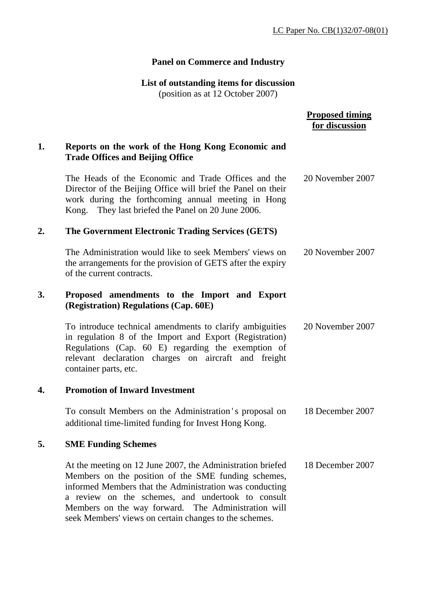## **Panel on Commerce and Industry**

## **List of outstanding items for discussion**

(position as at 12 October 2007)

|    |                                                                                                                                                                                                                                                                                                                                                    | <b>Proposed timing</b><br>for discussion |
|----|----------------------------------------------------------------------------------------------------------------------------------------------------------------------------------------------------------------------------------------------------------------------------------------------------------------------------------------------------|------------------------------------------|
| 1. | Reports on the work of the Hong Kong Economic and<br><b>Trade Offices and Beijing Office</b>                                                                                                                                                                                                                                                       |                                          |
|    | The Heads of the Economic and Trade Offices and the<br>Director of the Beijing Office will brief the Panel on their<br>work during the forthcoming annual meeting in Hong<br>They last briefed the Panel on 20 June 2006.<br>Kong.                                                                                                                 | 20 November 2007                         |
| 2. | The Government Electronic Trading Services (GETS)                                                                                                                                                                                                                                                                                                  |                                          |
|    | The Administration would like to seek Members' views on<br>the arrangements for the provision of GETS after the expiry<br>of the current contracts.                                                                                                                                                                                                | 20 November 2007                         |
| 3. | Proposed amendments to the Import and Export<br>(Registration) Regulations (Cap. 60E)                                                                                                                                                                                                                                                              |                                          |
|    | To introduce technical amendments to clarify ambiguities<br>in regulation 8 of the Import and Export (Registration)<br>Regulations (Cap. 60 E) regarding the exemption of<br>relevant declaration charges on aircraft and freight<br>container parts, etc.                                                                                         | 20 November 2007                         |
| 4. | <b>Promotion of Inward Investment</b>                                                                                                                                                                                                                                                                                                              |                                          |
|    | To consult Members on the Administration's proposal on<br>additional time-limited funding for Invest Hong Kong.                                                                                                                                                                                                                                    | 18 December 2007                         |
| 5. | <b>SME Funding Schemes</b>                                                                                                                                                                                                                                                                                                                         |                                          |
|    | At the meeting on 12 June 2007, the Administration briefed<br>Members on the position of the SME funding schemes,<br>informed Members that the Administration was conducting<br>a review on the schemes, and undertook to consult<br>Members on the way forward. The Administration will<br>seek Members' views on certain changes to the schemes. | 18 December 2007                         |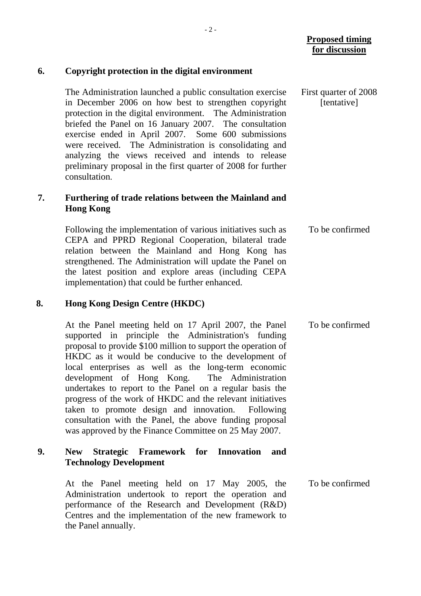|    |                                                                                                                                                                                                                                                                                                                                                                                                                                                                                                                                                                                                                                               | <b>Proposed timing</b><br>for discussion |
|----|-----------------------------------------------------------------------------------------------------------------------------------------------------------------------------------------------------------------------------------------------------------------------------------------------------------------------------------------------------------------------------------------------------------------------------------------------------------------------------------------------------------------------------------------------------------------------------------------------------------------------------------------------|------------------------------------------|
| 6. | Copyright protection in the digital environment                                                                                                                                                                                                                                                                                                                                                                                                                                                                                                                                                                                               |                                          |
|    | The Administration launched a public consultation exercise<br>in December 2006 on how best to strengthen copyright<br>protection in the digital environment. The Administration<br>briefed the Panel on 16 January 2007. The consultation<br>exercise ended in April 2007. Some 600 submissions<br>were received. The Administration is consolidating and<br>analyzing the views received and intends to release<br>preliminary proposal in the first quarter of 2008 for further<br>consultation.                                                                                                                                            | First quarter of 2008<br>[tentative]     |
| 7. | Furthering of trade relations between the Mainland and<br><b>Hong Kong</b>                                                                                                                                                                                                                                                                                                                                                                                                                                                                                                                                                                    |                                          |
|    | Following the implementation of various initiatives such as<br>CEPA and PPRD Regional Cooperation, bilateral trade<br>relation between the Mainland and Hong Kong has<br>strengthened. The Administration will update the Panel on<br>the latest position and explore areas (including CEPA<br>implementation) that could be further enhanced.                                                                                                                                                                                                                                                                                                | To be confirmed                          |
| 8. | <b>Hong Kong Design Centre (HKDC)</b>                                                                                                                                                                                                                                                                                                                                                                                                                                                                                                                                                                                                         |                                          |
|    | At the Panel meeting held on 17 April 2007, the Panel<br>supported in principle the Administration's funding<br>proposal to provide \$100 million to support the operation of<br>HKDC as it would be conducive to the development of<br>local enterprises as well as the long-term economic<br>development of Hong Kong. The Administration<br>undertakes to report to the Panel on a regular basis the<br>progress of the work of HKDC and the relevant initiatives<br>taken to promote design and innovation. Following<br>consultation with the Panel, the above funding proposal<br>was approved by the Finance Committee on 25 May 2007. | To be confirmed                          |
| 9. | Strategic Framework for Innovation<br><b>New</b><br>and<br><b>Technology Development</b>                                                                                                                                                                                                                                                                                                                                                                                                                                                                                                                                                      |                                          |
|    | At the Panel meeting held on 17 May 2005, the<br>Administration undertook to report the operation and                                                                                                                                                                                                                                                                                                                                                                                                                                                                                                                                         | To be confirmed                          |

performance of the Research and Development (R&D) Centres and the implementation of the new framework to

the Panel annually.